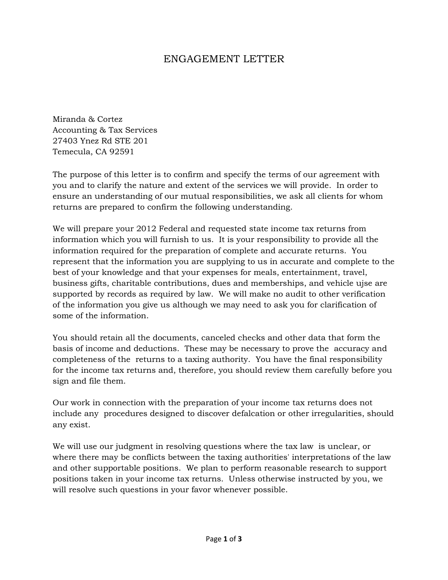## ENGAGEMENT LETTER

Miranda & Cortez Accounting & Tax Services 27403 Ynez Rd STE 201 Temecula, CA 92591

The purpose of this letter is to confirm and specify the terms of our agreement with you and to clarify the nature and extent of the services we will provide. In order to ensure an understanding of our mutual responsibilities, we ask all clients for whom returns are prepared to confirm the following understanding.

We will prepare your 2012 Federal and requested state income tax returns from information which you will furnish to us. It is your responsibility to provide all the information required for the preparation of complete and accurate returns. You represent that the information you are supplying to us in accurate and complete to the best of your knowledge and that your expenses for meals, entertainment, travel, business gifts, charitable contributions, dues and memberships, and vehicle ujse are supported by records as required by law. We will make no audit to other verification of the information you give us although we may need to ask you for clarification of some of the information.

You should retain all the documents, canceled checks and other data that form the basis of income and deductions. These may be necessary to prove the accuracy and completeness of the returns to a taxing authority. You have the final responsibility for the income tax returns and, therefore, you should review them carefully before you sign and file them.

Our work in connection with the preparation of your income tax returns does not include any procedures designed to discover defalcation or other irregularities, should any exist.

We will use our judgment in resolving questions where the tax law is unclear, or where there may be conflicts between the taxing authorities' interpretations of the law and other supportable positions. We plan to perform reasonable research to support positions taken in your income tax returns. Unless otherwise instructed by you, we will resolve such questions in your favor whenever possible.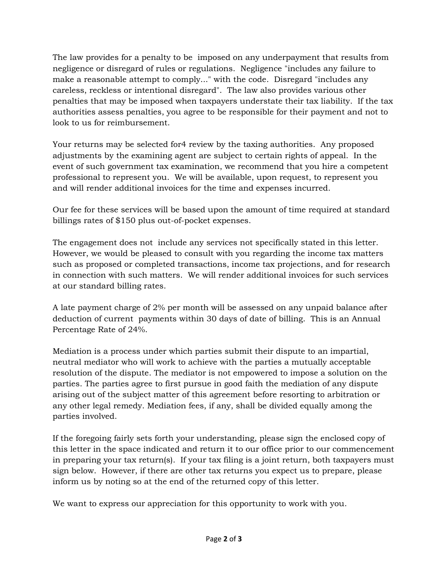The law provides for a penalty to be imposed on any underpayment that results from negligence or disregard of rules or regulations. Negligence "includes any failure to make a reasonable attempt to comply..." with the code. Disregard "includes any careless, reckless or intentional disregard". The law also provides various other penalties that may be imposed when taxpayers understate their tax liability. If the tax authorities assess penalties, you agree to be responsible for their payment and not to look to us for reimbursement.

Your returns may be selected for4 review by the taxing authorities. Any proposed adjustments by the examining agent are subject to certain rights of appeal. In the event of such government tax examination, we recommend that you hire a competent professional to represent you. We will be available, upon request, to represent you and will render additional invoices for the time and expenses incurred.

Our fee for these services will be based upon the amount of time required at standard billings rates of \$150 plus out-of-pocket expenses.

The engagement does not include any services not specifically stated in this letter. However, we would be pleased to consult with you regarding the income tax matters such as proposed or completed transactions, income tax projections, and for research in connection with such matters. We will render additional invoices for such services at our standard billing rates.

A late payment charge of 2% per month will be assessed on any unpaid balance after deduction of current payments within 30 days of date of billing. This is an Annual Percentage Rate of 24%.

Mediation is a process under which parties submit their dispute to an impartial, neutral mediator who will work to achieve with the parties a mutually acceptable resolution of the dispute. The mediator is not empowered to impose a solution on the parties. The parties agree to first pursue in good faith the mediation of any dispute arising out of the subject matter of this agreement before resorting to arbitration or any other legal remedy. Mediation fees, if any, shall be divided equally among the parties involved.

If the foregoing fairly sets forth your understanding, please sign the enclosed copy of this letter in the space indicated and return it to our office prior to our commencement in preparing your tax return(s). If your tax filing is a joint return, both taxpayers must sign below. However, if there are other tax returns you expect us to prepare, please inform us by noting so at the end of the returned copy of this letter.

We want to express our appreciation for this opportunity to work with you.